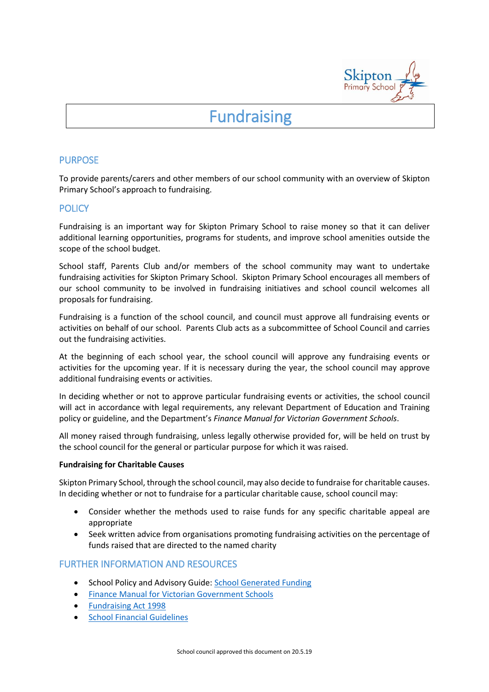

# **Fundraising**

## PURPOSE

To provide parents/carers and other members of our school community with an overview of Skipton Primary School's approach to fundraising.

## **POLICY**

Fundraising is an important way for Skipton Primary School to raise money so that it can deliver additional learning opportunities, programs for students, and improve school amenities outside the scope of the school budget.

School staff, Parents Club and/or members of the school community may want to undertake fundraising activities for Skipton Primary School. Skipton Primary School encourages all members of our school community to be involved in fundraising initiatives and school council welcomes all proposals for fundraising.

Fundraising is a function of the school council, and council must approve all fundraising events or activities on behalf of our school. Parents Club acts as a subcommittee of School Council and carries out the fundraising activities.

At the beginning of each school year, the school council will approve any fundraising events or activities for the upcoming year. If it is necessary during the year, the school council may approve additional fundraising events or activities.

In deciding whether or not to approve particular fundraising events or activities, the school council will act in accordance with legal requirements, any relevant Department of Education and Training policy or guideline, and the Department's *Finance Manual for Victorian Government Schools*.

All money raised through fundraising, unless legally otherwise provided for, will be held on trust by the school council for the general or particular purpose for which it was raised.

#### **Fundraising for Charitable Causes**

Skipton Primary School, through the school council, may also decide to fundraise for charitable causes. In deciding whether or not to fundraise for a particular charitable cause, school council may:

- Consider whether the methods used to raise funds for any specific charitable appeal are appropriate
- Seek written advice from organisations promoting fundraising activities on the percentage of funds raised that are directed to the named charity

## FURTHER INFORMATION AND RESOURCES

- School Policy and Advisory Guide: [School Generated Funding](http://www.education.vic.gov.au/school/principals/spag/finance/Pages/generatedfunding.aspx)
- **•** [Finance Manual for Victorian Government Schools](http://www.education.vic.gov.au/school/teachers/management/finance/Pages/guidelines.aspx#link63)
- [Fundraising Act 1998](https://www.acnc.gov.au/ACNC/FTS/Fundraising_in_Victoria.aspx?TemplateType=P)
- **•** [School Financial Guidelines](http://www.education.vic.gov.au/school/teachers/management/finance/Pages/guidelines.aspx)